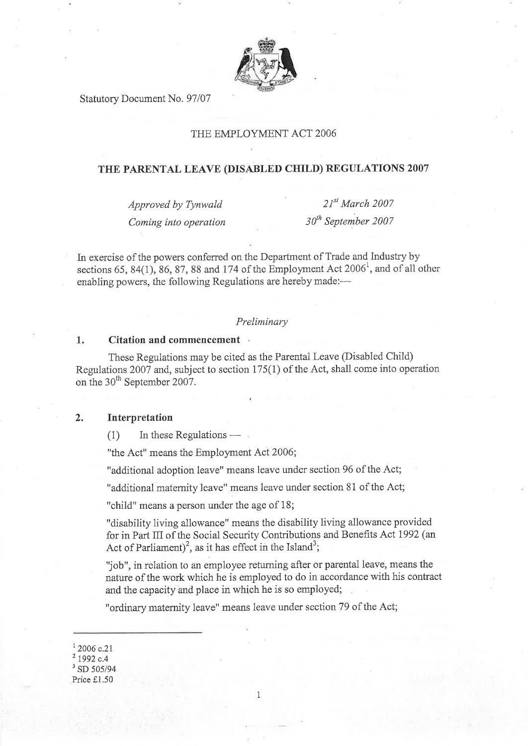

Statutory Document No. 97/07

# THE EMPLOYMENT ACT 2006

# THE PARENTAL LEAVE (DISABLED CHILD) REGULATIONS 2007

Approved by Tynwald Coming into operation

 $21^{st}$  March 2007  $30<sup>th</sup>$  September 2007

In exercise of the powers conferred on the Department of Trade and Industry by sections 65, 84(1), 86, 87, 88 and 174 of the Employment Act  $2006^1$ , and of all other enabling powers, the following Regulations are hereby made:-

### Preliminary

#### 1. Citation and commencement

These Regulations may be cited as the Parental Leave (Disabled Child) Regulations 2007 and, subject to section  $175(1)$  of the Act, shall come into operation on the 30<sup>th</sup> September 2007.

### ) Interpretation

 $(1)$  In these Regulations — .

"the Act" means the Employment Act 2006;

"additional adoption leave" means leave under section 96 of the Act;

"additional matemity leave" means leave under section 81 of the Act;

"child" means a person under the age of 18;

"disability living allowance" means the disability living allowance provided for in Part III of the Social Security Contributions and Benefits Act 1992 (an Act of Parliament)<sup>2</sup>, as it has effect in the Island<sup>3</sup>;

'Job", in relation to an employee retuming after or parental leave, means the nature of the work which he is employed to do in accordance with his contract and the capacity and place in which he is so employed;

"ordinary maternity 1eave" means leave under section 79 of the Act;

'2006 c.2l

# $3$  SD 505/94

Price £1.50

<sup>1992</sup> c.4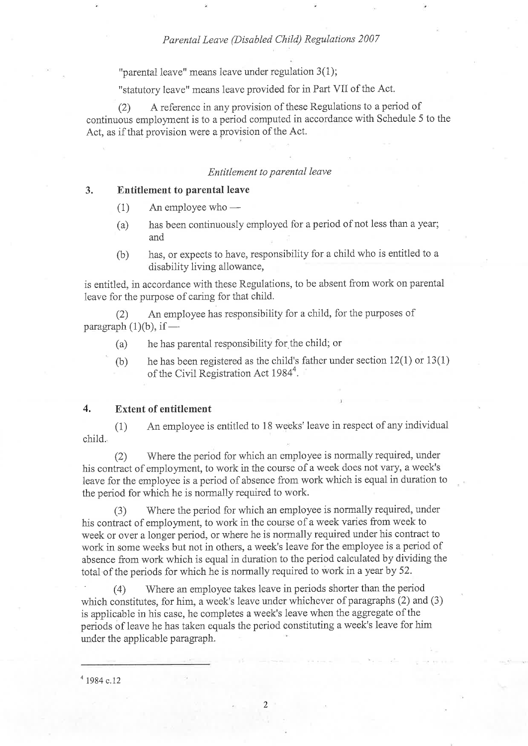"parental leave" means leave under regulation 3(1);

"statutory leave" means leave provided for in Part VII of the Act.

(2) <sup>A</sup>reference in any provision of these Regulations to a period of continuous employrnent is to a period computed in accordance with Schedule 5 to the Act, as if that provision were a provision of the Act.

#### Entitlement to parental leave

### 3. Entitlement to parental leave

- $(1)$  An employee who -
- (a) has been continuously employed for a period of not less than a year; and
- $(b)$  has, or expects to have, responsibility for a child who is entitled to a disability living allowance,

is entitled, in accordance with these Regulations, to be absent from work on parental leave for the purpose of caring for that chi1d.

Ø An employee has responsibility for a child, for the purposes of  $\frac{\text{pargraph (1)(b)}}{\text{pargmin}}$ 

- (a) he has parental responsibility for the child; or
- (b) he has been registered as the child's father under section 12(1) or 13(1) of the Civil Registration Act 1984<sup>4</sup>.

#### Extent of entitlement 4.

(1) An employee is entitled to 18 weeks' leave in respect of any individual child.

(2) Where the period for which an employee is normally required, under his contract of employment, to work in the course of a week does not vary, a week's leave for the employee is a period of absence from work which is equal in duration to the period for which he is normally required to work.

(3) 'Where the period for which an employee is normally required, under his contract of employrnent, to work in the course of a week varies from week to week or over a longer period, or where he is normaliy required under his contract to work in some weeks but not in others, a week's leave for the employee is a period of absence from work which is equal in duration to the period calculated by dividing the total of the periods for which he is normally required to work in a year by 52.

(4) .Where an employee takes leave in periods shorter than the period which constitutes, for him, a week's leave under whichever of paragraphs (2) and (3) is applicable in his case, he completes a week's leave when the aggregate of the periods of leave he has taken equals the period constituting a week's leave for him under the applicable paragraph.

 $4$  1984 c.12

2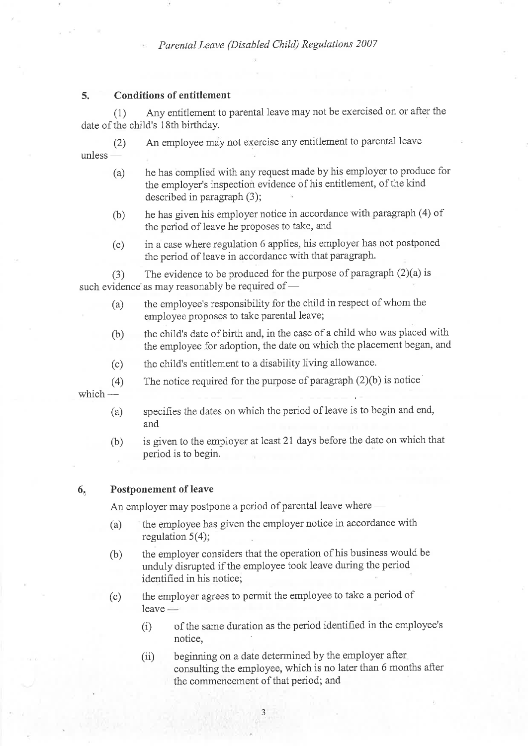#### 5. Conditions of entitlement

(1) Any entitlernent to parental leave may not be exercised on or after the date of the child's 18th birthday.

(2) An employee may not exercise any entitlement to parental leave unless -

- (a) he has complied with any request made by his employer to produce for the employer's inspection evidence of his entitlement, of the kind described in paragraph  $(3)$ ;
- (b) he has given his employer notice in accordance with paragraph (4) of the period of leave he proposes to take, and
- (c) in a case where regulation 6 applies, his employer has not postponed the period of ieave in accordance with that paragraph.

(3) The evidence to be produced for the purpose of paragraph  $(2)(a)$  is such evidence as may reasonably be required of –

- (a) the employee's responsibility for the child in respect of whom the employee proposes to take parental leave;
- (b) the child's date of birth and, in the case of a child who was placed with the employee for adoption, the date on which the placement began, and
- (c) the child's entitlement to a disability living allowance.
- (4) The notice required for the purpose of paragraph  $(2)(b)$  is notice

which -

- (a) specifies the dates on which the period of leave is to begin and end, and
- (b) is given to the employer at least 2I days before the date on which that period is to begin.

#### $6<sub>n</sub>$  Postponement of leave

An employer may postpone a period of parental leave where –

- (a) the employee has given the employer notice in accordance with regulation 5(4);
- (b) the employer considers that the operation of his business would be unduly disrupted if the employee took leave during the period identified in his notice;
- (c) the employer agrees to permit the employee to take a period of leave -
	- (i) of the same duration as the period identified in the employee's notice,
	- beginning on a date determined by the employer after consulting the employee, which is no later than 6 months after the commencement of that period; and  $(ii)$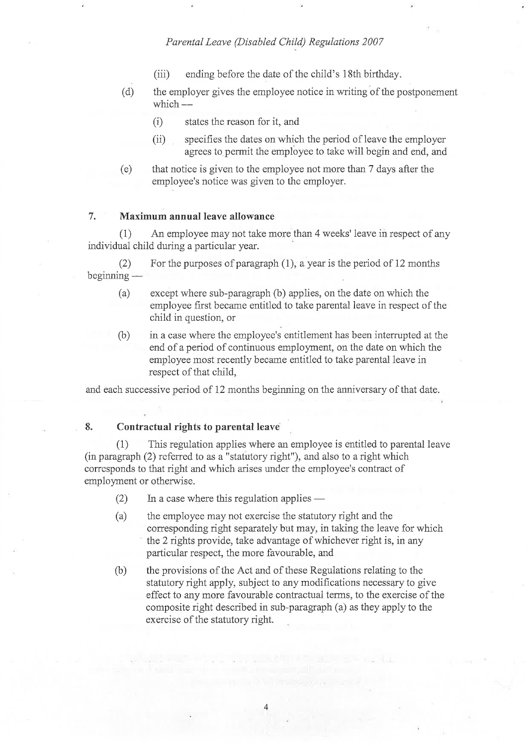- (iii) ending before the date of the child's 18th birthday.
- (d) the employer gives the employee notice in writing of the postponement which-
	- (i) states the reason for it, and
	- (ii) specifies the dates on which the period of leave the employer agrees to permit the employee to take will begin and end, and
- (e) that notice is given to the employee not more than 7 days after the employee's notice was given to the employer.

#### 7. Maximum annual leave allowance

(1) An empioyee may not take more than 4 weeks' ieave in respect of any individual child during a particular year.

(2) For the purposes of paragraph  $(1)$ , a year is the period of 12 months beginning -

- (a) except where sub-paragraph (b) applies, on the date on which the employee first became entitled to take parental leave in respect of the child in question, or
- (b) in a case where the employee's entitlement has been intemrpted at the end of a period of continuous employment, on the date on which the employee most recently became entitled to take parental leave in respect of that child,

and each successive period of 12 months beginning on the anniversary of that date.

## 8. Contractual rights to parental leave

(1) This regulation applies where an employee is entitled to parental leave (in paragraph (2) referred to as a "statutory right"), and also to a right which corresponds to that right and which arises under the employee's contract of employment or otherwise.

- (2) In a case where this regulation applies -
- (a) the employee may not exercise the statutory right and the corresponding right separately but may, in taking the leave for which the 2 rights provide, take advantage of whichever right is, in any particular respect, the more favourable, and
- (b) the provisions of the Act and of these Regulations relating to the statutory right apply, subject to any modifications necessary to give effect to any more favourable contractual terms, to the exercise of the composite right described in sub-paragraph (a) as they apply to the exercise of the statutory right.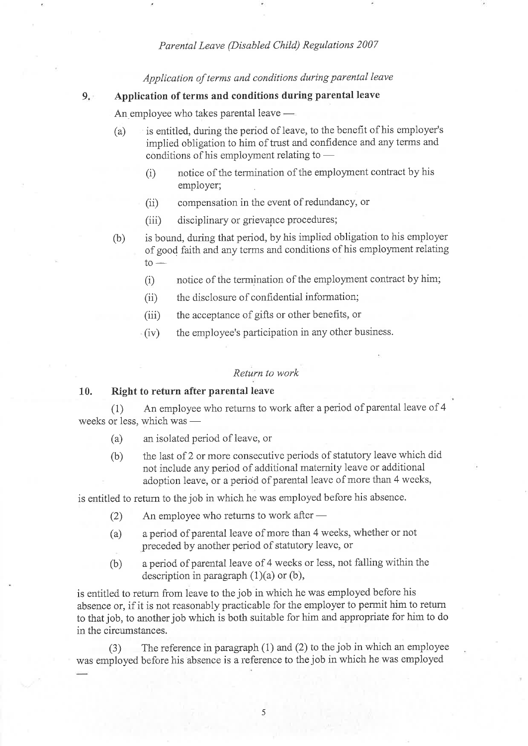Application of terms and conditions during parental leave

#### $9.7$ Application of terms and conditions during parental leave

An employee who takes parental leave —

- (a) is entitled, during the period of leave, to the benefit of his employer's implied obligation to him of trust and confidence and any terms and conditions of his employment relating to –
	- (i) notice of the termination of the employment contract by his employer;
	- (ii) compensation in the event of redundancy, or
	- (iii) disciplinary or grievance procedures;
- (b) is bound, during that period, by his implied obligation to his employer of good faith and any terms and conditions of his employment relating  $to -$ 
	- (i) notice of the termination of the employment contract by him;
	- (ii) the disclosure of confidential information;
	- (iii) the acceptance of gifts or other benefits, or
	- (iv) the employee's participation in any other business.

#### Return to work

#### 10. Right to return after parental leave

(1) An employee who returns to work after aperiod of parental leave of <sup>4</sup> weeks or less, which was --

- (a) an isolated period of leave, or
- (b) the last of 2 or more consecutive periods of statutory leave which did not include any period of additional maternity leave or additional adoption leave, or a period of parental leave of more than 4 weeks,

is entitled to return to the job in which he was employed before his absence.

- (2) An employee who returns to work after -
- (a) a period of parental leave of more than 4 weeks, whether or not preceded by another period of statutory leave, or
- (b) a period of parental leave of 4 weeks or 1ess, not falling within the description in paragraph  $(1)(a)$  or  $(b)$ ,

is entitled to return from leave to the job in which he was employed before his absence or, if it is not reasonably practicable for the employer to permit him to retum to that job, to another job which is both suitable for him and appropriate for him to do in the circumstances.

(3) The reference in paragraph (1) and (2) to the job in which an employee was employed before his absence is a reference to the job in which he was employed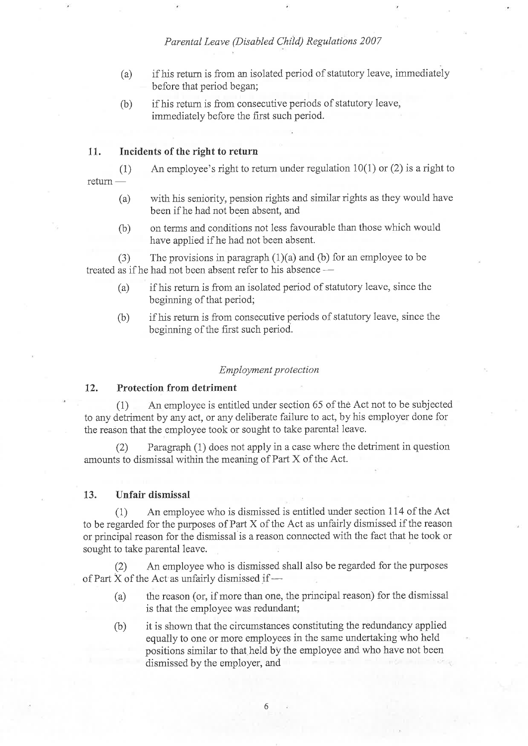- (a) if his retum is from an isolated period of statutory leave, immediately before that period began;
- (b) if his return is from consecutive periods of statutory leave, immediately before the first such period.

### 11. Incidents of the right to return

(1) An employee's right to return under regulation  $10(1)$  or (2) is a right to return -

- (a) with his seniority, pension rights and similar rights as they would have been if he had not been absent, and
- (b) on terms and conditions not less favourable than those which would have applied if he had not been absent.

(3) The provisions in paragraph  $(1)(a)$  and (b) for an employee to be treated as if he had not been absent refer to his absence -

- (a) if his return is from an isolated period of statutory leave, since the beginning of that period;
- (b) if hjs return is from consecutive periods of statutory leave, since the beginning of the first such period.

#### Employment protection

#### Protection from detriment 72.

(1) An employee is entitled under section 65 of thè Act not to be subjected to any detriment by any act, or any deliberate failure to act, by his employer done for the reason that the employee took or sought to take parental leave.

(2) Paragraph (1) does not apply in a case where the detriment in question amounts to dismissal within the meaning of Part X of the Act.

#### 13. Unfair dismissal

(1) An employee who is dismissed is entitled under section 114 of the Act to be regarded for the purposes of Part X of the Act as unfairly dismissed if the reason or principal reason for the dismissal is a reason connected with the fact that he took or sought to take parental leave.

(2) An employee who is dismissed sha1l also be regarded for the purposes of Part X of the Act as unfairly dismissed if -

- (a) the reason (or, if more than one, the principal reason) for the dismissal is that the employee was redundant;
- (b) it ís shown that the circumstances constituting the redundancy applied equally to one or more employees in the same undertaking who held positions similar to that held by the employee and who have not been dismissed by the employer, and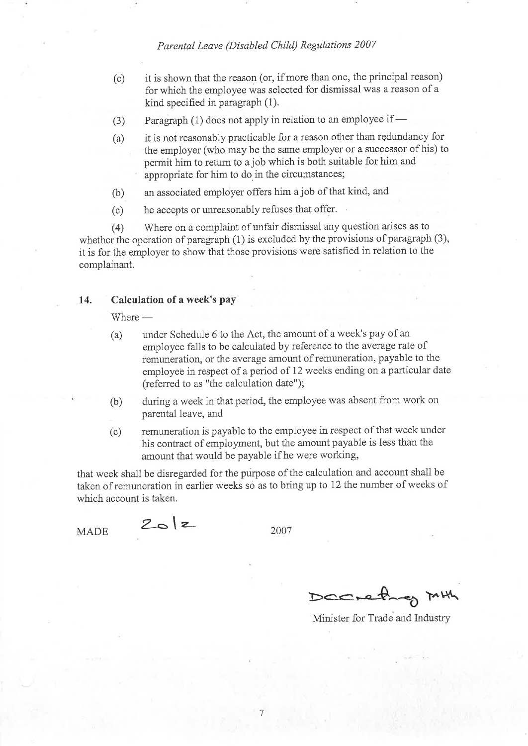- (c) it is shown that the reason (or, if more than one, the principal reason) for which the employee was selected for dismissal was a reason of <sup>a</sup> kind specified in paragraph (1).
- (3) Paragraph (1) does not apply in relation to an employee if
- (a) it is not reasonably practicable for a reason other than redundancy for the employer (who may be the same employer or a successor of his) to permit him to return to a job which is both suitable for him and appropriate for him to do in the circumstances;
- (b) an associated employer offers him a job of that kind, and
- (c) he accepts or unreasonably refuses that offer.

(4) Where cn a complaint of unfair dismissal any question arises as to whether the operation of paragraph (1) is excluded by the provisions of paragraph (3), it is for the employer to show that those provisions were satisfied in relation to the complainant.

#### 14. Calculation of a week's pay

Where -

- (a) under Schedule 6 to the Act, the amount of a week's pay of an employee fa1ls to be calculated by reference to the average rate of remuneration, or the average amount of remuneration, payable to the employeê in respect of a period of 12 weeks ending on a particular date (referred to as "the calculation date");
- (b) during a week in that period, the employee was absent from work on parental leave, and
- (c) remuneration is payable to the employee in respect of that week under his contract of employrnent, but the amount payable is less than the amount that would be payable if he were working,

that week shall be disregarded for the purpose of the calculation and account shall be taken of remuneration in earlier weeks so as to bring up to 12 the number of weeks of which account is taken.

MADE  $Z_{\bullet}$  |  $z$  2007

Dachethey

Minjster for Trade and Industry